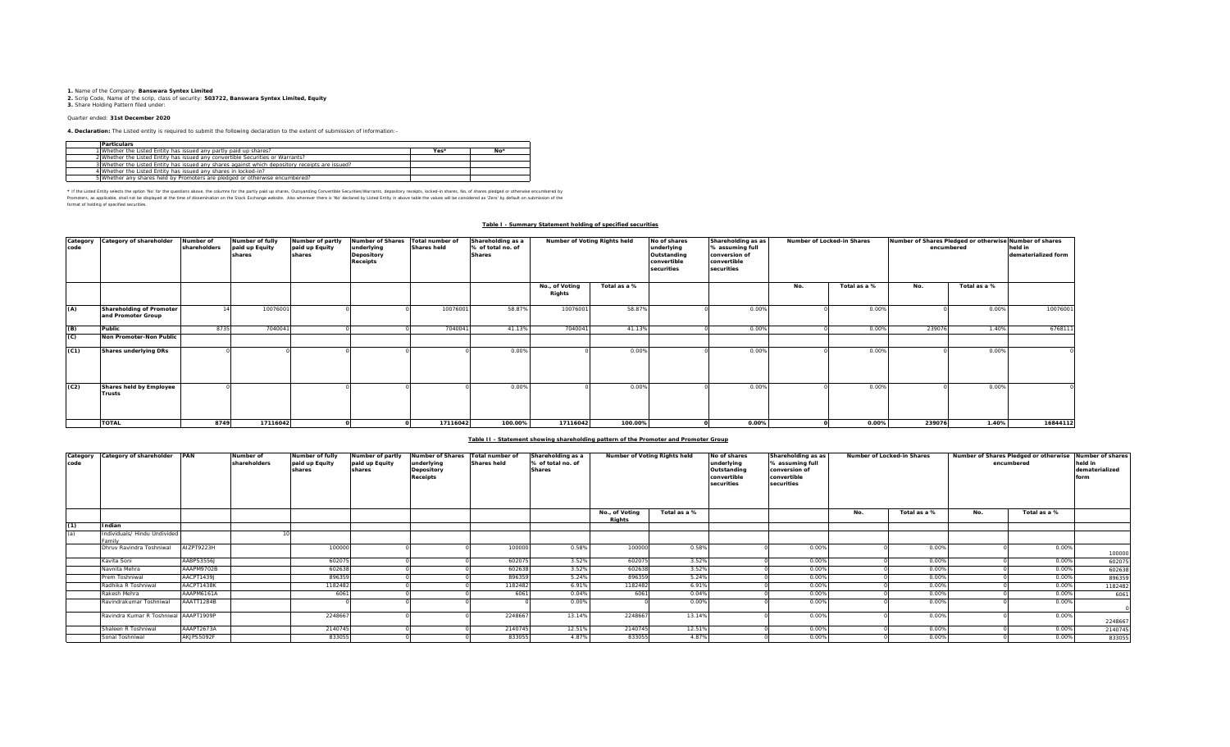**1.** Name of the Company: **Banswara Syntex Limited**<br>2. Scrip Code, Name of the scrip, class of security: **503722, Banswara Syntex Limited, Equity**<br>**3.** Share Holding Pattern filed under:

## Quarter ended: **31st December 2020**

**4. Declaration:** The Listed entity is required to submit the following declaration to the extent of submission of information:-

| <b>Particulars</b>                                                                              |      |       |
|-------------------------------------------------------------------------------------------------|------|-------|
| 1 Whether the Listed Entity has issued any partly paid up shares?                               | Yes* | $No*$ |
| 2 Whether the Listed Entity has issued any convertible Securities or Warrants?                  |      |       |
| 3 Whether the Listed Entity has issued any shares against which depository receipts are issued? |      |       |
| 4 Whether the Listed Entity has issued any shares in locked-in?                                 |      |       |
| 5 Whether any shares held by Promoters are pledged or otherwise encumbered?                     |      |       |

\* If ne Listed Ently selects ine opton War for the equasitons above, the outwars for the partly share, Quityandng Convertible Securities/Warrants, depository receipts, boked-in shares, No. of shares predget or otherwise in format of holding of specified securities.

### **Table I - Summary Statement holding of specified securities**

| Category<br>code | Category of shareholder                        | Number of<br>shareholders | Number of fully<br>paid up Equity<br>shares | Number of partly<br>paid up Equity<br>shares | <b>Number of Shares</b><br>underlying<br>Depository<br><b>Receipts</b> | Total number of<br><b>Shares held</b> | Shareholding as a<br>% of total no. of<br><b>Shares</b> | Number of Voting Rights held |              | No of shares<br>underlying<br>Outstanding<br>convertible<br>securities | Shareholding as as<br>% assuming full<br>conversion of<br>convertible<br>securities |     | Number of Locked-in Shares | Number of Shares Pledged or otherwise Number of shares<br>encumbered | held in<br>dematerialized form |          |
|------------------|------------------------------------------------|---------------------------|---------------------------------------------|----------------------------------------------|------------------------------------------------------------------------|---------------------------------------|---------------------------------------------------------|------------------------------|--------------|------------------------------------------------------------------------|-------------------------------------------------------------------------------------|-----|----------------------------|----------------------------------------------------------------------|--------------------------------|----------|
|                  |                                                |                           |                                             |                                              |                                                                        |                                       |                                                         | No., of Voting<br>Rights     | Total as a % |                                                                        |                                                                                     | No. | Total as a %               | No.                                                                  | Total as a %                   |          |
| (A)              | Shareholding of Promoter<br>and Promoter Group |                           | 10076001                                    |                                              |                                                                        | 10076001                              | 58.87%                                                  | 10076001                     | 58.87%       |                                                                        | 0.00%                                                                               |     | 0.00%                      |                                                                      | 0.00%                          | 10076001 |
| (B)              | Public                                         | 8735                      | 704004                                      |                                              |                                                                        | 7040041                               | 41.13%                                                  | 704004                       | 41.13%       |                                                                        | 0.00%                                                                               |     | 0.00%                      | 239076                                                               | 1.40%                          | 6768111  |
| (C)              | Non Promoter-Non Public                        |                           |                                             |                                              |                                                                        |                                       |                                                         |                              |              |                                                                        |                                                                                     |     |                            |                                                                      |                                |          |
| (C1)             | <b>Shares underlying DRs</b>                   |                           |                                             |                                              |                                                                        |                                       | 0.00%                                                   |                              | 0.00%        |                                                                        | 0.00%                                                                               |     | 0.00%                      |                                                                      | 0.00%                          |          |
| (C2)             | Shares held by Employee<br><b>Trusts</b>       |                           |                                             |                                              |                                                                        |                                       | 0.009                                                   |                              | 0.00%        |                                                                        | 0.00%                                                                               |     | 0.00%                      |                                                                      | 0.00%                          |          |
|                  | <b>TOTAL</b>                                   | 8749                      | 17116042                                    |                                              |                                                                        | 17116042                              | 100.00%                                                 | 17116042                     | 100.00%      |                                                                        | $0.00\%$                                                                            |     | 0.00%                      | 239076                                                               | 1.40%                          | 16844112 |

#### **Table II - Statement showing shareholding pattern of the Promoter and Promoter Group**

| code | Category Category of shareholder PAN   |            | Number of<br>shareholders | <b>Number of fully</b><br>paid up Equity<br>shares | Number of partly<br>paid up Equity<br>shares | Number of Shares Total number of<br>underlying<br>Depository<br>Receipts | <b>Shares held</b> | Shareholding as a<br>% of total no. of<br><b>Shares</b> | Number of Voting Rights held |              | No of shares<br>underlying<br>Outstanding<br>convertible<br>securities | Shareholding as as<br>% assuming full<br>conversion of<br>convertible<br>securities |     | Number of Locked-in Shares | encumbered |              | Number of Shares Pledged or otherwise Number of shares<br>held in<br>dematerialized<br>form |
|------|----------------------------------------|------------|---------------------------|----------------------------------------------------|----------------------------------------------|--------------------------------------------------------------------------|--------------------|---------------------------------------------------------|------------------------------|--------------|------------------------------------------------------------------------|-------------------------------------------------------------------------------------|-----|----------------------------|------------|--------------|---------------------------------------------------------------------------------------------|
|      |                                        |            |                           |                                                    |                                              |                                                                          |                    |                                                         | No., of Voting<br>Rights     | Total as a % |                                                                        |                                                                                     | No. | Total as a %               | No.        | Total as a % |                                                                                             |
| (1)  | Indian                                 |            |                           |                                                    |                                              |                                                                          |                    |                                                         |                              |              |                                                                        |                                                                                     |     |                            |            |              |                                                                                             |
| (a)  | Individuals/ Hindu Undivided<br>Family |            |                           |                                                    |                                              |                                                                          |                    |                                                         |                              |              |                                                                        |                                                                                     |     |                            |            |              |                                                                                             |
|      | Dhruv Ravindra Toshniwal               | AIZPT9223H |                           | 100000                                             |                                              |                                                                          | 100000             | 0.58%                                                   | 100000                       | 0.58%        |                                                                        | 0.00%                                                                               |     | 0.00%                      |            | 0.00%        | 100000                                                                                      |
|      | Kavita Soni                            | AABPS3556J |                           | 602075                                             |                                              |                                                                          | 602075             | 3.52%                                                   | 602075                       | 3.52%        |                                                                        | 0.00%                                                                               |     | 0.00%                      |            | 0.00%        | 602075                                                                                      |
|      | Navnita Mehra                          | AAAPM9702B |                           | 602638                                             |                                              |                                                                          | 60263              | 3.52%                                                   | 602638                       | 3.52%        |                                                                        | 0.00%                                                                               |     | 0.00%                      |            | 0.00%        | 602638                                                                                      |
|      | Prem Toshniwal                         | AACPT1439J |                           | 896359                                             |                                              |                                                                          | 896359             | 5.24%                                                   | 896359                       | 5.24%        |                                                                        | 0.00%                                                                               |     | 0.00%                      |            | 0.00%        | 896359                                                                                      |
|      | Radhika R Toshniwal                    | AACPT1438K |                           | 1182482                                            |                                              |                                                                          | 1182482            | 6.91%                                                   | 1182482                      | 6.91%        |                                                                        | 0.00%                                                                               |     | 0.00%                      |            | 0.00%        | 1182482                                                                                     |
|      | Rakesh Mehra                           | AAAPM6161A |                           | 6061                                               |                                              |                                                                          | 6061               | 0.04%                                                   | 6061                         | 0.04%        |                                                                        | 0.00%                                                                               |     | 0.00%                      |            | 0.00%        | 6061                                                                                        |
|      | Ravindrakumar Toshniwal                | AAATT1284B |                           |                                                    |                                              |                                                                          |                    | 0.00%                                                   |                              | 0.00%        |                                                                        | 0.00%                                                                               |     | 0.00%                      |            | 0.00%        |                                                                                             |
|      | Ravindra Kumar R Toshniwal AAAPT1909P  |            |                           | 2248667                                            |                                              |                                                                          | 224866             | 13.14%                                                  | 2248667                      | 13.14%       |                                                                        | 0.00%                                                                               |     | 0.00%                      |            | 0.00%        | 2248667                                                                                     |
|      | Shaleen R Toshniwal                    | AAAPT2673A |                           | 2140745                                            |                                              |                                                                          | 2140745            | 12.51%                                                  | 2140745                      | 12.51%       |                                                                        | 0.00%                                                                               |     | 0.00%                      |            | 0.00%        | 2140745                                                                                     |
|      | Sonal Toshniwal                        | AKJPS5092F |                           | 833055                                             |                                              |                                                                          | 833055             | 4.87%                                                   | 833055                       | 4.87%        |                                                                        | 0.00%                                                                               |     | 0.00%                      |            | 0.00%        | 833055                                                                                      |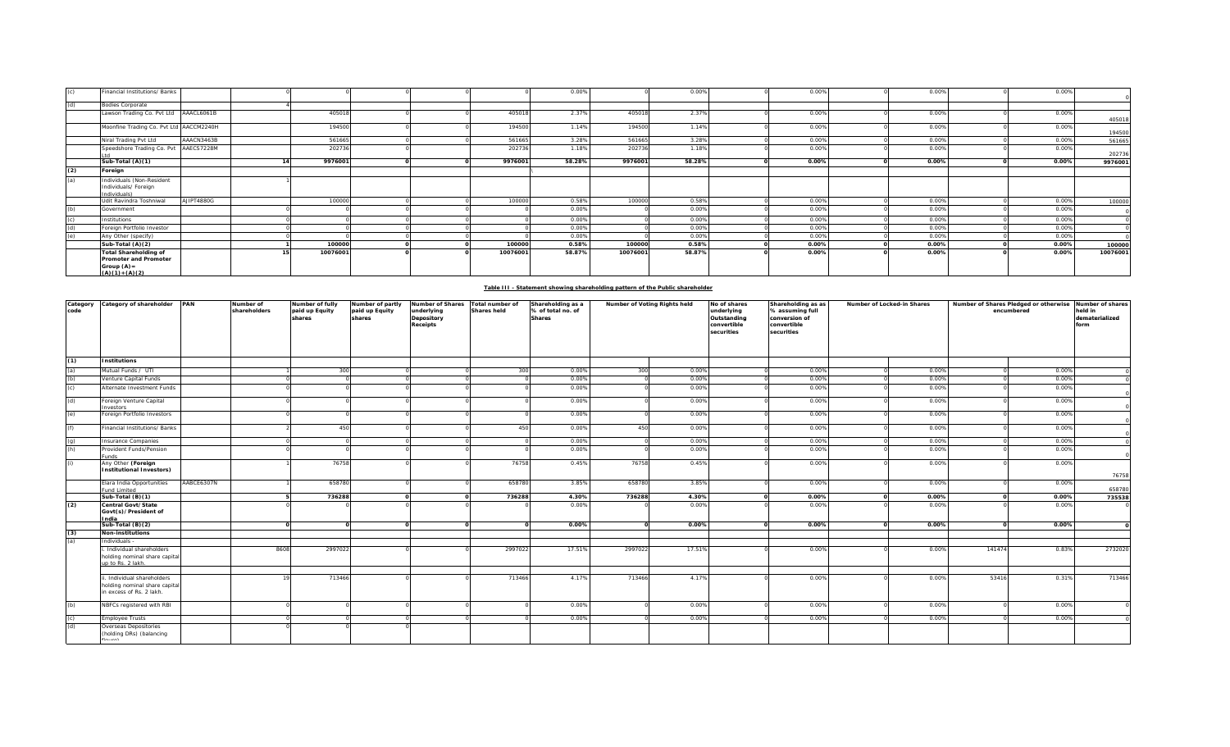|     | Financial Institutions/ Banks                                                                      |            |          |  |          | 0.00%  |          | 0.00%  | 0.00% | 0.00% | 0.00% |          |
|-----|----------------------------------------------------------------------------------------------------|------------|----------|--|----------|--------|----------|--------|-------|-------|-------|----------|
| (d) | <b>Bodies Corporate</b>                                                                            |            |          |  |          |        |          |        |       |       |       |          |
|     | Lawson Trading Co. Pvt Ltd AAACL6061B                                                              |            | 405018   |  | 405018   | 2.37%  | 405018   | 2.37%  | 0.00% | 0.00% | 0.00% | 405018   |
|     | Moonfine Trading Co. Pvt Ltd AACCM2240H                                                            |            | 194500   |  | 194500   | 1.14%  | 194500   | 1.14%  | 0.00% | 0.00% | 0.00% | 194500   |
|     | Niral Trading Pvt Ltd                                                                              | AAACN3463B | 561665   |  | 561665   | 3.28%  | 561665   | 3.28%  | 0.00% | 0.00% | 0.00% | 561665   |
|     | Speedshore Trading Co. Pvt AAECS7228M                                                              |            | 202736   |  | 202736   | 1.18%  | 202736   | 1.18%  | 0.00% | 0.00% | 0.00% | 202736   |
|     | Sub-Total (A)(1)                                                                                   |            | 9976001  |  | 9976001  | 58.28% | 9976001  | 58.28% | 0.00% | 0.00% | 0.00% | 9976001  |
| (2) | Foreign                                                                                            |            |          |  |          |        |          |        |       |       |       |          |
| (a) | Individuals (Non-Resident<br>Individuals/ Foreign<br>Individuals)                                  |            |          |  |          |        |          |        |       |       |       |          |
|     | Udit Ravindra Toshniwal                                                                            | AJIPT4880G | 100000   |  | 100000   | 0.58%  | 100000   | 0.58%  | 0.00% | 0.00% | 0.00% | 100000   |
| (b) | Government                                                                                         |            |          |  |          | 0.00%  |          | 0.00%  | 0.00% | 0.00% | 0.00% |          |
|     | Institutions                                                                                       |            |          |  |          | 0.00%  |          | 0.00%  | 0.00% | 0.00% | 0.00% |          |
| (d) | Foreign Portfolio Investor                                                                         |            |          |  |          | 0.00%  |          | 0.00%  | 0.00% | 0.00% | 0.00% |          |
| (e) | Any Other (specify)                                                                                |            |          |  |          | 0.00%  |          | 0.00%  | 0.00% | 0.00% | 0.00% |          |
|     | Sub-Total (A)(2)                                                                                   |            | 100000   |  | 100000   | 0.58%  | 100000   | 0.58%  | 0.00% | 0.00% | 0.00% | 100000   |
|     | <b>Total Shareholding of</b><br><b>Promoter and Promoter</b><br>Group $(A)$ =<br>$(A)(1) + (A)(2)$ |            | 10076001 |  | 10076001 | 58.87% | 10076001 | 58.87% | 0.00% | 0.00% | 0.00% | 10076001 |

| Table III - Statement showing shareholding pattern of the Public shareholder |
|------------------------------------------------------------------------------|
|                                                                              |

| Category<br>code | Category of shareholder PAN                                                            |            | Number of<br>shareholders | Number of fully<br>paid up Equity<br>shares | Number of partly<br>paid up Equity<br>shares | Number of Shares<br>underlying<br>Depository<br>Receipts | Total number of<br><b>Shares held</b> | Shareholding as a<br>% of total no. of<br>Shares | Number of Voting Rights held |        | No of shares<br>underlying<br>Outstanding<br>convertible<br>securities | Shareholding as as<br>% assuming full<br>conversion of<br>convertible<br>securities | Number of Locked-in Shares |       | Number of Shares Pledged or otherwise<br>encumbered |       | Number of shares<br>held in<br>dematerialized<br>form |
|------------------|----------------------------------------------------------------------------------------|------------|---------------------------|---------------------------------------------|----------------------------------------------|----------------------------------------------------------|---------------------------------------|--------------------------------------------------|------------------------------|--------|------------------------------------------------------------------------|-------------------------------------------------------------------------------------|----------------------------|-------|-----------------------------------------------------|-------|-------------------------------------------------------|
| (1)              | <b>Institutions</b>                                                                    |            |                           |                                             |                                              |                                                          |                                       |                                                  |                              |        |                                                                        |                                                                                     |                            |       |                                                     |       |                                                       |
| (a)              | Mutual Funds / UTI                                                                     |            |                           | 300                                         |                                              |                                                          | 300                                   | 0.00%                                            | 300                          | 0.00%  |                                                                        | 0.00%                                                                               |                            | 0.00% |                                                     | 0.00% |                                                       |
| (b)              | Venture Capital Funds                                                                  |            |                           |                                             |                                              |                                                          |                                       | 0.00%                                            |                              | 0.00%  |                                                                        | 0.00%                                                                               |                            | 0.00% |                                                     | 0.00% |                                                       |
| (c)              | Alternate Investment Funds                                                             |            |                           |                                             |                                              |                                                          |                                       | 0.00%                                            |                              | 0.00%  |                                                                        | 0.00%                                                                               |                            | 0.00% |                                                     | 0.00% |                                                       |
| (d)              | Foreign Venture Capital<br>nvestors                                                    |            |                           |                                             |                                              |                                                          |                                       | 0.00%                                            |                              | 0.00%  |                                                                        | 0.00%                                                                               |                            | 0.00% |                                                     | 0.00% |                                                       |
| (e)              | Foreign Portfolio Investors                                                            |            |                           |                                             |                                              |                                                          |                                       | 0.00%                                            |                              | 0.00%  |                                                                        | 0.00%                                                                               |                            | 0.00% |                                                     | 0.00% |                                                       |
| (f)              | Financial Institutions/ Banks                                                          |            |                           | 450                                         |                                              |                                                          | 450                                   | 0.00%                                            | 450                          | 0.00%  |                                                                        | 0.00%                                                                               |                            | 0.00% |                                                     | 0.00% |                                                       |
| (q)              | nsurance Companies                                                                     |            |                           |                                             |                                              |                                                          |                                       | 0.00%                                            |                              | 0.00%  |                                                                        | 0.00%                                                                               |                            | 0.00% |                                                     | 0.00% |                                                       |
| (h)              | Provident Funds/Pension<br><b>ands</b>                                                 |            |                           |                                             |                                              |                                                          |                                       | 0.00%                                            |                              | 0.00%  |                                                                        | 0.00%                                                                               |                            | 0.00% |                                                     | 0.00% |                                                       |
| (i)              | Any Other (Foreign<br><b>Institutional Investors)</b>                                  |            |                           | 76758                                       |                                              |                                                          | 76758                                 | 0.45%                                            | 76758                        | 0.45%  |                                                                        | 0.00%                                                                               |                            | 0.00% |                                                     | 0.00% | 76758                                                 |
|                  | Elara India Opportunities<br>und Limited                                               | AABCE6307N |                           | 658780                                      |                                              |                                                          | 658780                                | 3.85%                                            | 658780                       | 3.85%  |                                                                        | 0.00%                                                                               |                            | 0.00% |                                                     | 0.00% | 658780                                                |
|                  | Sub-Total $(B)(1)$                                                                     |            |                           | 736288                                      |                                              |                                                          | 736288                                | 4.30%                                            | 736288                       | 4.30%  |                                                                        | 0.00%                                                                               |                            | 0.00% |                                                     | 0.00% | 735538                                                |
| (2)              | Central Govt/State<br>Govt(s)/President of<br>ndia                                     |            |                           |                                             |                                              |                                                          |                                       | 0.00%                                            |                              | 0.00%  |                                                                        | 0.00%                                                                               |                            | 0.00% |                                                     | 0.00% |                                                       |
|                  | Sub-Total (B)(2)                                                                       |            |                           |                                             |                                              |                                                          | $\Omega$                              | 0.00%                                            | $\Omega$                     | 0.00%  |                                                                        | 0.00%                                                                               |                            | 0.00% |                                                     | 0.00% |                                                       |
| (3)              | <b>Non-institutions</b>                                                                |            |                           |                                             |                                              |                                                          |                                       |                                                  |                              |        |                                                                        |                                                                                     |                            |       |                                                     |       |                                                       |
| (a)              | Individuals -                                                                          |            |                           |                                             |                                              |                                                          |                                       |                                                  |                              |        |                                                                        |                                                                                     |                            |       |                                                     |       |                                                       |
|                  | Individual shareholders<br>holding nominal share capital<br>up to Rs. 2 lakh.          |            | 8608                      | 2997022                                     |                                              |                                                          | 2997022                               | 17.51%                                           | 2997022                      | 17.51% |                                                                        | 0.00%                                                                               |                            | 0.00% | 141474                                              | 0.83% | 2732020                                               |
|                  |                                                                                        |            |                           |                                             |                                              |                                                          |                                       |                                                  |                              |        |                                                                        |                                                                                     |                            |       |                                                     |       |                                                       |
|                  | . Individual shareholders<br>holding nominal share capital<br>in excess of Rs. 2 lakh. |            |                           | 713466                                      |                                              |                                                          | 713466                                | 4.17%                                            | 713466                       | 4.17%  |                                                                        | 0.00%                                                                               |                            | 0.00% | 53416                                               | 0.31% | 713466                                                |
| (b)              | NBFCs registered with RBI                                                              |            |                           |                                             |                                              |                                                          |                                       | 0.00%                                            |                              | 0.00%  |                                                                        | 0.00%                                                                               |                            | 0.00% |                                                     | 0.00% |                                                       |
| (c)              | <b>Employee Trusts</b>                                                                 |            |                           |                                             |                                              |                                                          |                                       | 0.00%                                            |                              | 0.00%  |                                                                        | 0.00%                                                                               |                            | 0.00% |                                                     | 0.00% |                                                       |
| (d)              | Overseas Depositories<br>(holding DRs) (balancing                                      |            |                           |                                             |                                              |                                                          |                                       |                                                  |                              |        |                                                                        |                                                                                     |                            |       |                                                     |       |                                                       |